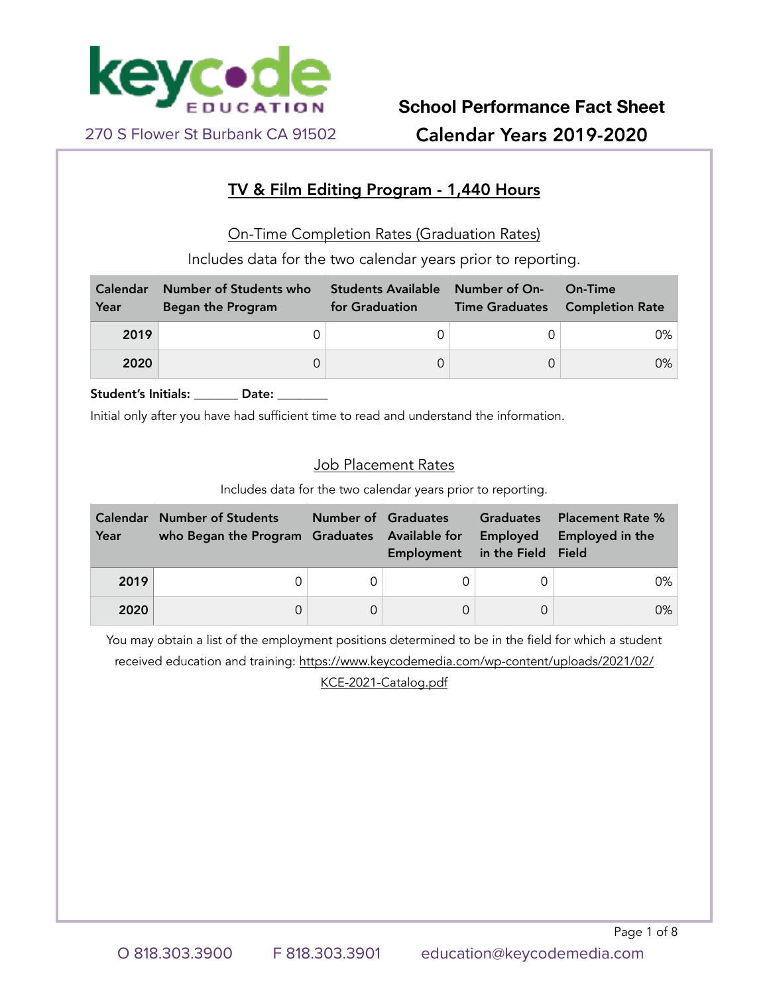

## TV & Film Editing Program - 1,440 Hours

On-Time Completion Rates (Graduation Rates)

Includes data for the two calendar years prior to reporting.

| <b>Calendar</b><br>Year | Number of Students who<br><b>Began the Program</b> | <b>Students Available</b><br>for Graduation | Number of On-<br><b>Time Graduates</b> | On-Time<br><b>Completion Rate</b> |
|-------------------------|----------------------------------------------------|---------------------------------------------|----------------------------------------|-----------------------------------|
| 2019                    |                                                    |                                             |                                        | 0%                                |
| 2020                    |                                                    |                                             |                                        | $0\%$                             |

Student's Initials: \_\_\_\_\_\_\_ Date: \_\_\_\_\_\_

Initial only after you have had sufficient time to read and understand the information.

#### Job Placement Rates

Includes data for the two calendar years prior to reporting.

| Calendar<br>Year | <b>Number of Students</b> | Number of Graduates<br>who Began the Program Graduates Available for<br>Employment |   | <b>Graduates</b><br>Employed<br>in the Field Field | <b>Placement Rate %</b><br>Employed in the |  |
|------------------|---------------------------|------------------------------------------------------------------------------------|---|----------------------------------------------------|--------------------------------------------|--|
| 2019             |                           |                                                                                    |   |                                                    | 0%                                         |  |
| 2020             |                           |                                                                                    | 0 |                                                    | $0\%$                                      |  |

You may obtain a list of the employment positions determined to be in the field for which a student received education and training: [https://www.keycodemedia.com/wp-content/uploads/2021/02/](https://www.keycodemedia.com/wp-content/uploads/2021/02/KCE-2021-Catalog.pdf) [KCE-2021-Catalog.pdf](https://www.keycodemedia.com/wp-content/uploads/2021/02/KCE-2021-Catalog.pdf)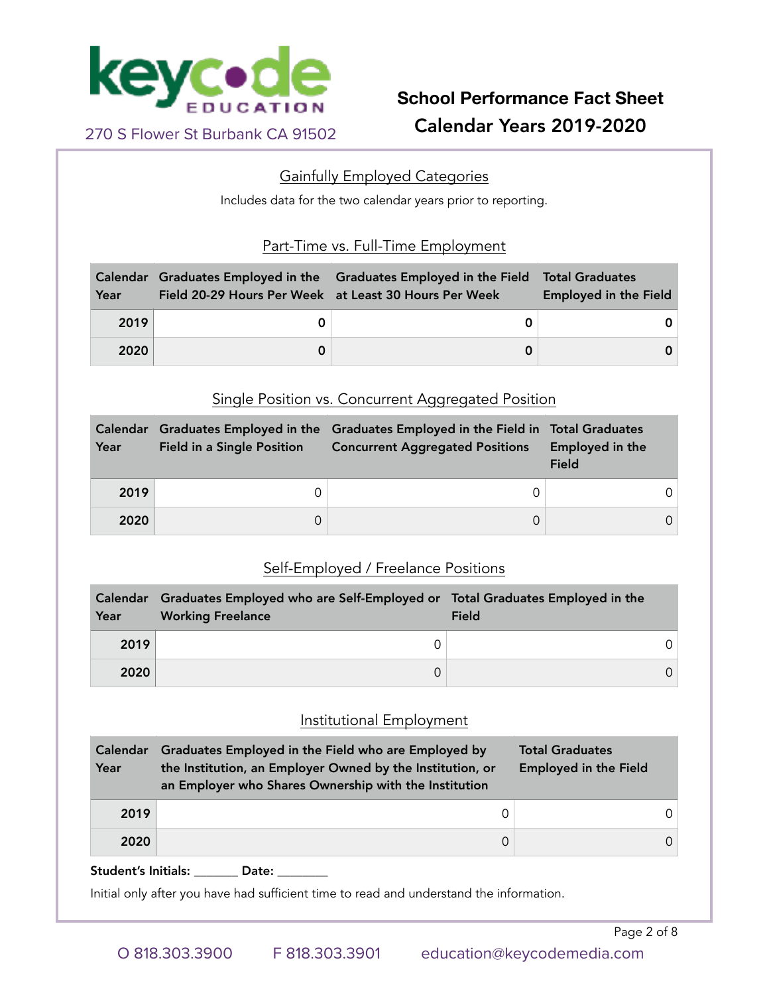

## Gainfully Employed Categories

Includes data for the two calendar years prior to reporting.

## Part-Time vs. Full-Time Employment

| Year | Field 20-29 Hours Per Week at Least 30 Hours Per Week | Calendar Graduates Employed in the Graduates Employed in the Field | <b>Total Graduates</b><br><b>Employed in the Field</b> |
|------|-------------------------------------------------------|--------------------------------------------------------------------|--------------------------------------------------------|
| 2019 |                                                       |                                                                    |                                                        |
| 2020 |                                                       |                                                                    |                                                        |

### Single Position vs. Concurrent Aggregated Position

| Calendar<br>Year | <b>Field in a Single Position</b> | Graduates Employed in the Graduates Employed in the Field in Total Graduates<br><b>Concurrent Aggregated Positions</b> | Employed in the<br><b>Field</b> |  |
|------------------|-----------------------------------|------------------------------------------------------------------------------------------------------------------------|---------------------------------|--|
| 2019             |                                   |                                                                                                                        |                                 |  |
| 2020             |                                   |                                                                                                                        |                                 |  |

## Self-Employed / Freelance Positions

| Year | Calendar Graduates Employed who are Self-Employed or Total Graduates Employed in the<br><b>Working Freelance</b> | Field |
|------|------------------------------------------------------------------------------------------------------------------|-------|
| 2019 | 0                                                                                                                |       |
| 2020 | 0                                                                                                                |       |

## Institutional Employment

| <b>Calendar</b><br>Year | Graduates Employed in the Field who are Employed by<br>the Institution, an Employer Owned by the Institution, or<br>an Employer who Shares Ownership with the Institution | <b>Total Graduates</b><br><b>Employed in the Field</b> |
|-------------------------|---------------------------------------------------------------------------------------------------------------------------------------------------------------------------|--------------------------------------------------------|
| 2019                    |                                                                                                                                                                           |                                                        |
| 2020                    | 0                                                                                                                                                                         |                                                        |

Student's Initials: \_\_\_\_\_\_\_ Date: \_\_\_\_\_

Initial only after you have had sufficient time to read and understand the information.

Page 2 of 8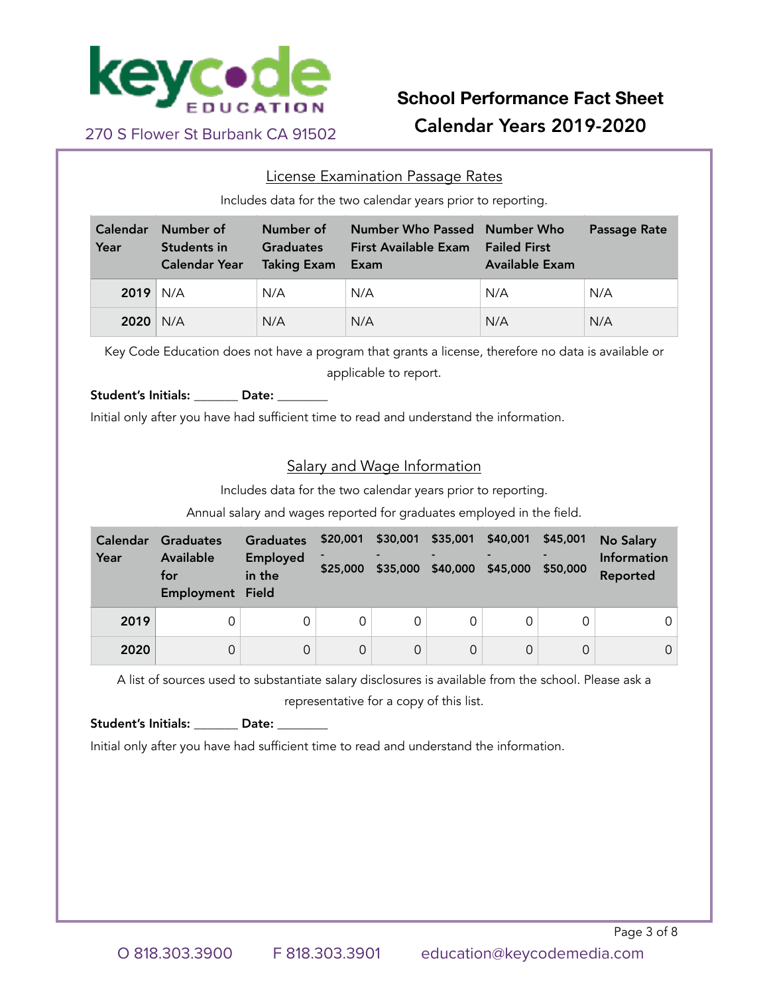

#### License Examination Passage Rates

Includes data for the two calendar years prior to reporting.

| <b>Calendar</b><br>Year | Number of<br>Students in<br><b>Calendar Year</b> | Number of<br><b>Graduates</b><br><b>Taking Exam</b> | <b>Number Who Passed Number Who</b><br><b>First Available Exam</b><br>Exam | <b>Failed First</b><br><b>Available Exam</b> | Passage Rate |
|-------------------------|--------------------------------------------------|-----------------------------------------------------|----------------------------------------------------------------------------|----------------------------------------------|--------------|
| $2019$ N/A              |                                                  | N/A                                                 | N/A                                                                        | N/A                                          | N/A          |
| 2020                    | N/A                                              | N/A                                                 | N/A                                                                        | N/A                                          | N/A          |

Key Code Education does not have a program that grants a license, therefore no data is available or applicable to report.

Student's Initials: [2016] Date:

Initial only after you have had sufficient time to read and understand the information.

### Salary and Wage Information

Includes data for the two calendar years prior to reporting.

Annual salary and wages reported for graduates employed in the field.

| <b>Calendar</b><br>Year | Graduates<br><b>Available</b><br>for<br><b>Employment Field</b> | <b>Graduates</b><br><b>Employed</b><br>in the | \$20,001<br>\$25,000 | \$30,001<br>\$35,000 | \$35,001<br>\$40,000 | \$40,001<br>\$45,000 | \$45,001<br>\$50,000 | <b>No Salary</b><br>Information<br>Reported |
|-------------------------|-----------------------------------------------------------------|-----------------------------------------------|----------------------|----------------------|----------------------|----------------------|----------------------|---------------------------------------------|
| 2019                    | 0                                                               |                                               | 0                    |                      |                      |                      |                      |                                             |
| 2020                    | 0                                                               |                                               | 0                    | 0                    |                      | $\Omega$             |                      | 0                                           |

A list of sources used to substantiate salary disclosures is available from the school. Please ask a

representative for a copy of this list.

Student's Initials: \_\_\_\_\_\_\_ Date: \_\_\_\_

Initial only after you have had sufficient time to read and understand the information.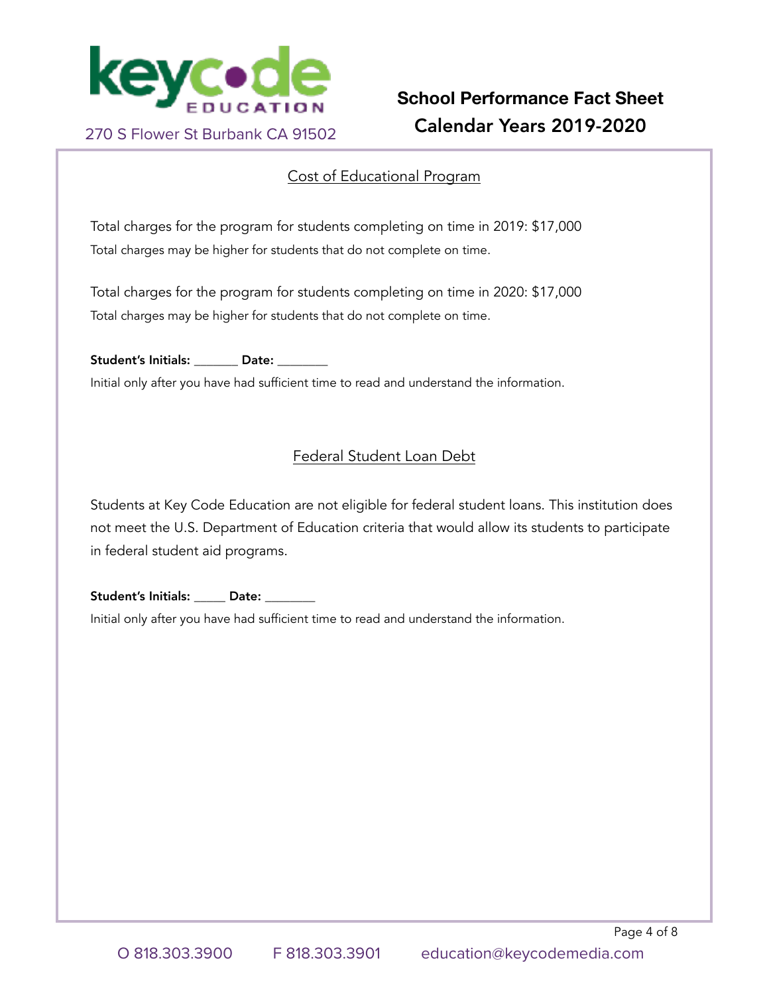

## Cost of Educational Program

Total charges for the program for students completing on time in 2019: \$17,000 Total charges may be higher for students that do not complete on time.

Total charges for the program for students completing on time in 2020: \$17,000 Total charges may be higher for students that do not complete on time.

Student's Initials: Date:

Initial only after you have had sufficient time to read and understand the information.

## Federal Student Loan Debt

Students at Key Code Education are not eligible for federal student loans. This institution does not meet the U.S. Department of Education criteria that would allow its students to participate in federal student aid programs.

Student's Initials: \_\_\_\_\_ Date: \_\_\_\_

Initial only after you have had sufficient time to read and understand the information.

Page 4 of 8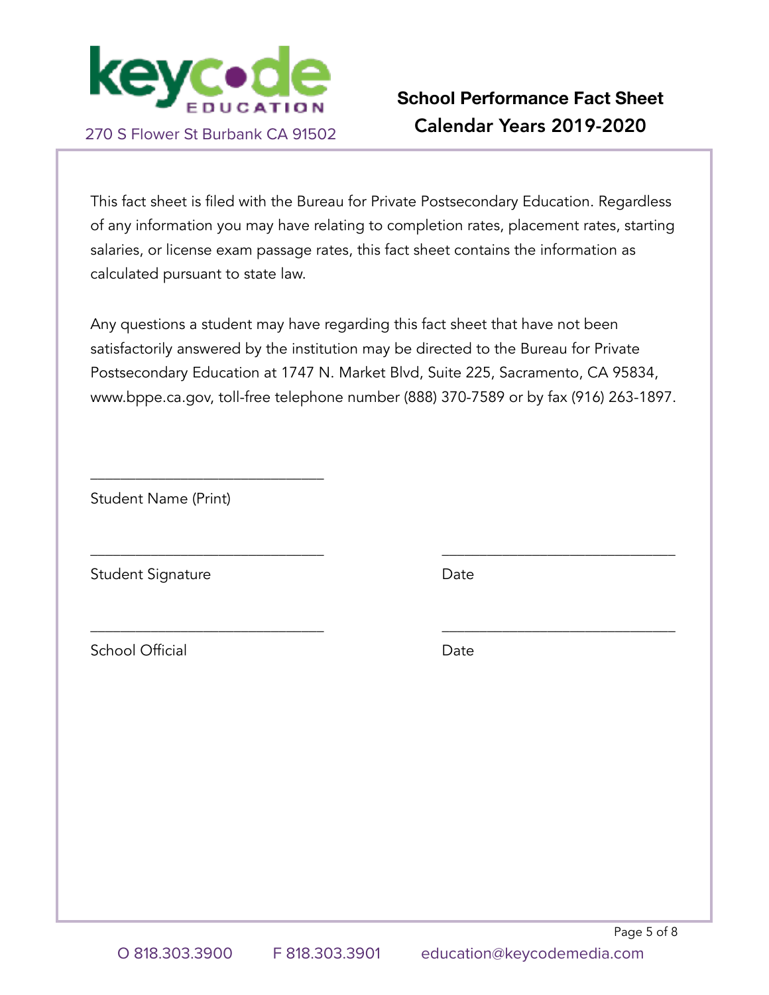

This fact sheet is filed with the Bureau for Private Postsecondary Education. Regardless of any information you may have relating to completion rates, placement rates, starting salaries, or license exam passage rates, this fact sheet contains the information as calculated pursuant to state law.

Any questions a student may have regarding this fact sheet that have not been satisfactorily answered by the institution may be directed to the Bureau for Private Postsecondary Education at 1747 N. Market Blvd, Suite 225, Sacramento, CA 95834, www.bppe.ca.gov, toll-free telephone number (888) 370-7589 or by fax (916) 263-1897.

\_\_\_\_\_\_\_\_\_\_\_\_\_\_\_\_\_\_\_\_\_\_\_\_\_\_\_\_\_\_\_ \_\_\_\_\_\_\_\_\_\_\_\_\_\_\_\_\_\_\_\_\_\_\_\_\_\_\_\_\_\_\_

\_\_\_\_\_\_\_\_\_\_\_\_\_\_\_\_\_\_\_\_\_\_\_\_\_\_\_\_\_\_\_ \_\_\_\_\_\_\_\_\_\_\_\_\_\_\_\_\_\_\_\_\_\_\_\_\_\_\_\_\_\_\_

Student Name (Print)

\_\_\_\_\_\_\_\_\_\_\_\_\_\_\_\_\_\_\_\_\_\_\_\_\_\_\_\_\_\_\_

Student Signature Date

School Official **Date** 

Page 5 of 8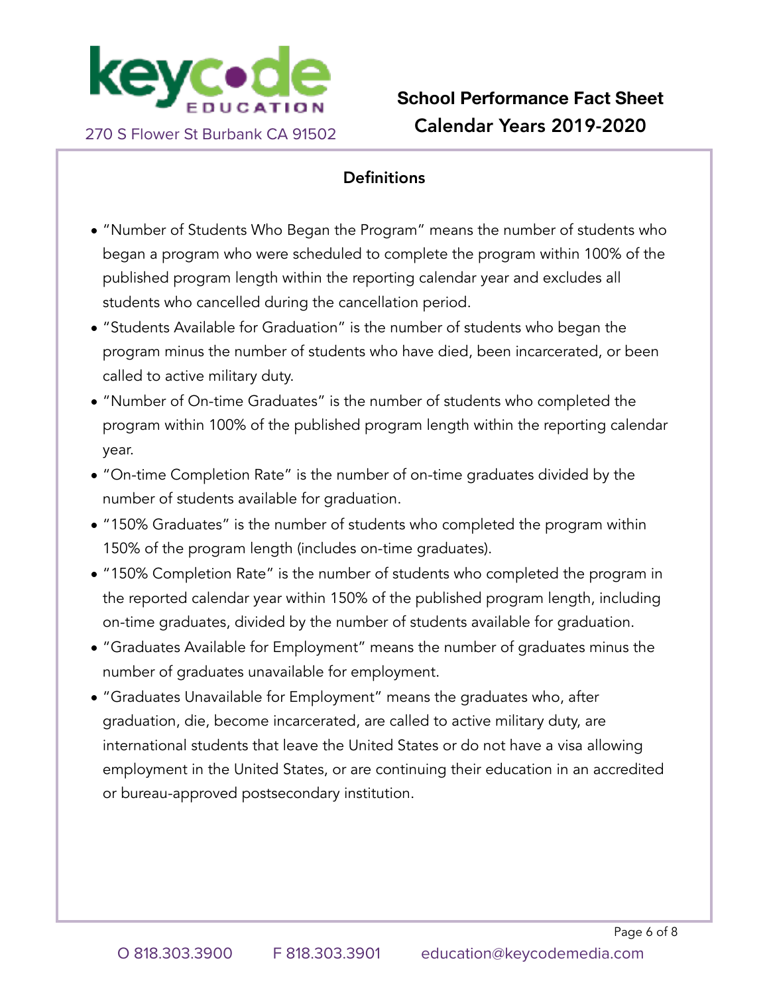

## **Definitions**

- "Number of Students Who Began the Program" means the number of students who began a program who were scheduled to complete the program within 100% of the published program length within the reporting calendar year and excludes all students who cancelled during the cancellation period.
- "Students Available for Graduation" is the number of students who began the program minus the number of students who have died, been incarcerated, or been called to active military duty.
- "Number of On-time Graduates" is the number of students who completed the program within 100% of the published program length within the reporting calendar year.
- "On-time Completion Rate" is the number of on-time graduates divided by the number of students available for graduation.
- "150% Graduates" is the number of students who completed the program within 150% of the program length (includes on-time graduates).
- "150% Completion Rate" is the number of students who completed the program in the reported calendar year within 150% of the published program length, including on-time graduates, divided by the number of students available for graduation.
- "Graduates Available for Employment" means the number of graduates minus the number of graduates unavailable for employment.
- "Graduates Unavailable for Employment" means the graduates who, after graduation, die, become incarcerated, are called to active military duty, are international students that leave the United States or do not have a visa allowing employment in the United States, or are continuing their education in an accredited or bureau-approved postsecondary institution.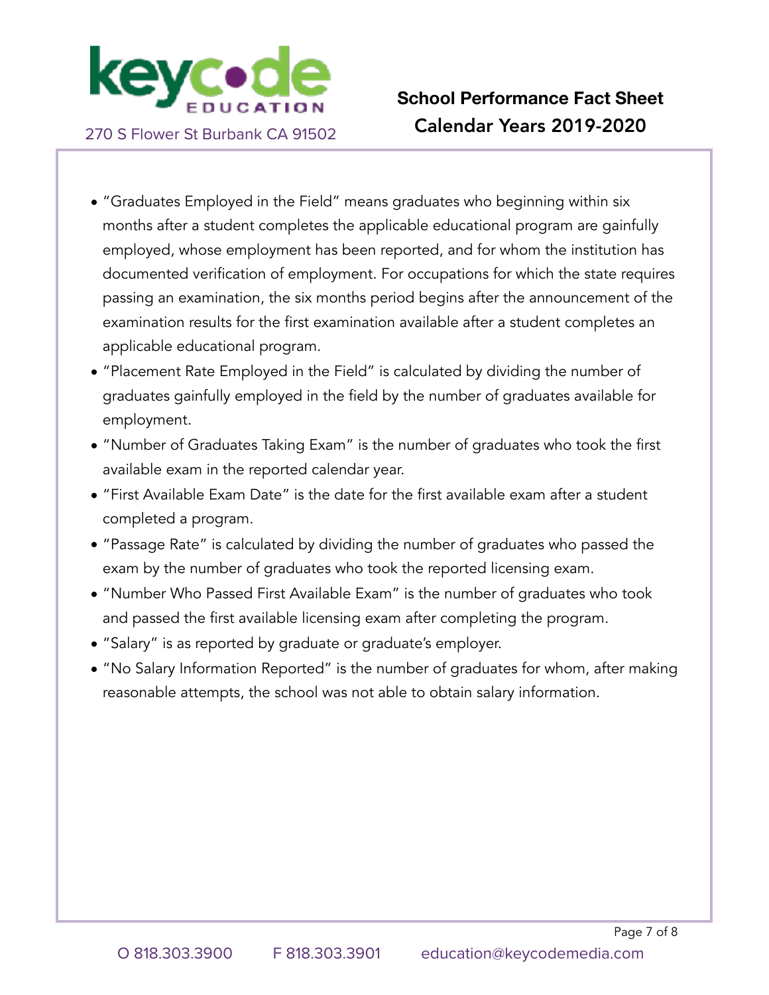

- "Graduates Employed in the Field" means graduates who beginning within six months after a student completes the applicable educational program are gainfully employed, whose employment has been reported, and for whom the institution has documented verification of employment. For occupations for which the state requires passing an examination, the six months period begins after the announcement of the examination results for the first examination available after a student completes an applicable educational program.
- "Placement Rate Employed in the Field" is calculated by dividing the number of graduates gainfully employed in the field by the number of graduates available for employment.
- "Number of Graduates Taking Exam" is the number of graduates who took the first available exam in the reported calendar year.
- "First Available Exam Date" is the date for the first available exam after a student completed a program.
- "Passage Rate" is calculated by dividing the number of graduates who passed the exam by the number of graduates who took the reported licensing exam.
- "Number Who Passed First Available Exam" is the number of graduates who took and passed the first available licensing exam after completing the program.
- "Salary" is as reported by graduate or graduate's employer.
- "No Salary Information Reported" is the number of graduates for whom, after making reasonable attempts, the school was not able to obtain salary information.